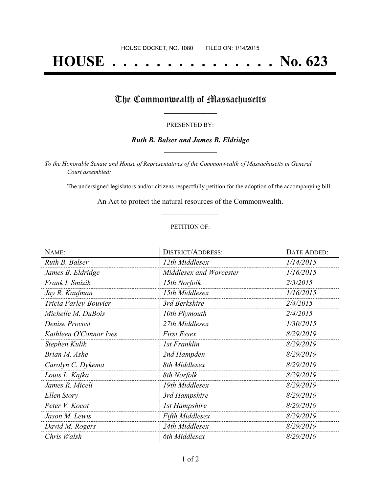# **HOUSE . . . . . . . . . . . . . . . No. 623**

### The Commonwealth of Massachusetts

#### PRESENTED BY:

#### *Ruth B. Balser and James B. Eldridge* **\_\_\_\_\_\_\_\_\_\_\_\_\_\_\_\_\_**

*To the Honorable Senate and House of Representatives of the Commonwealth of Massachusetts in General Court assembled:*

The undersigned legislators and/or citizens respectfully petition for the adoption of the accompanying bill:

An Act to protect the natural resources of the Commonwealth. **\_\_\_\_\_\_\_\_\_\_\_\_\_\_\_**

#### PETITION OF:

| NAME:                  | <b>DISTRICT/ADDRESS:</b> | DATE ADDED: |
|------------------------|--------------------------|-------------|
| Ruth B. Balser         | 12th Middlesex           | 1/14/2015   |
| James B. Eldridge      | Middlesex and Worcester  | 1/16/2015   |
| Frank I. Smizik        | 15th Norfolk             | 2/3/2015    |
| Jay R. Kaufman         | 15th Middlesex           | 1/16/2015   |
| Tricia Farley-Bouvier  | 3rd Berkshire            | 2/4/2015    |
| Michelle M. DuBois     | 10th Plymouth            | 2/4/2015    |
| Denise Provost         | 27th Middlesex           | 1/30/2015   |
| Kathleen O'Connor Ives | <b>First Essex</b>       | 8/29/2019   |
| Stephen Kulik          | 1st Franklin             | 8/29/2019   |
| Brian M. Ashe          | 2nd Hampden              | 8/29/2019   |
| Carolyn C. Dykema      | 8th Middlesex            | 8/29/2019   |
| Louis L. Kafka         | 8th Norfolk              | 8/29/2019   |
| James R. Miceli        | 19th Middlesex           | 8/29/2019   |
| Ellen Story            | 3rd Hampshire            | 8/29/2019   |
| Peter V. Kocot         | <b>1st Hampshire</b>     | 8/29/2019   |
| Jason M. Lewis         | Fifth Middlesex          | 8/29/2019   |
| David M. Rogers        | 24th Middlesex           | 8/29/2019   |
| Chris Walsh            | 6th Middlesex            | 8/29/2019   |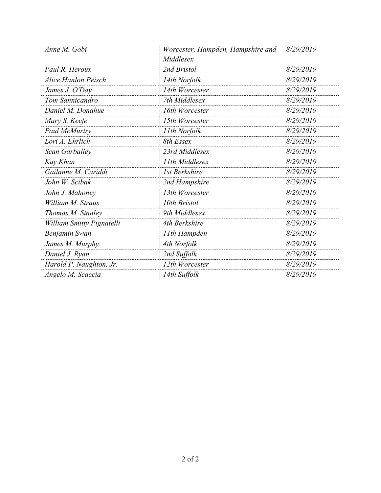| Anne M. Gobi                     | Worcester, Hampden, Hampshire and | 8/29/2019 |
|----------------------------------|-----------------------------------|-----------|
|                                  | Middlesex                         |           |
| Paul R. Heroux                   | 2nd Bristol                       | 8/29/2019 |
| <b>Alice Hanlon Peisch</b>       | 14th Norfolk                      | 8/29/2019 |
| James J. O'Day                   | 14th Worcester                    | 8/29/2019 |
| Tom Sannicandro                  | 7th Middlesex                     | 8/29/2019 |
| Daniel M. Donahue                | 16th Worcester                    | 8/29/2019 |
| Mary S. Keefe                    | 15th Worcester                    | 8/29/2019 |
| Paul McMurtry                    | 11th Norfolk                      | 8/29/2019 |
| Lori A. Ehrlich                  | 8th Essex                         | 8/29/2019 |
| Sean Garballey                   | 23rd Middlesex                    | 8/29/2019 |
| Kay Khan                         | 11th Middlesex                    | 8/29/2019 |
| Gailanne M. Cariddi              | 1st Berkshire                     | 8/29/2019 |
| John W. Scibak                   | 2nd Hampshire                     | 8/29/2019 |
| John J. Mahoney                  | 13th Worcester                    | 8/29/2019 |
| William M. Straus                | 10th Bristol                      | 8/29/2019 |
| Thomas M. Stanley                | 9th Middlesex                     | 8/29/2019 |
| <b>William Smitty Pignatelli</b> | 4th Berkshire                     | 8/29/2019 |
| Benjamin Swan                    | 11th Hampden                      | 8/29/2019 |
| James M. Murphy                  | 4th Norfolk                       | 8/29/2019 |
| Daniel J. Ryan                   | 2nd Suffolk                       | 8/29/2019 |
| Harold P. Naughton, Jr.          | 12th Worcester                    | 8/29/2019 |
| Angelo M. Scaccia                | 14th Suffolk                      | 8/29/2019 |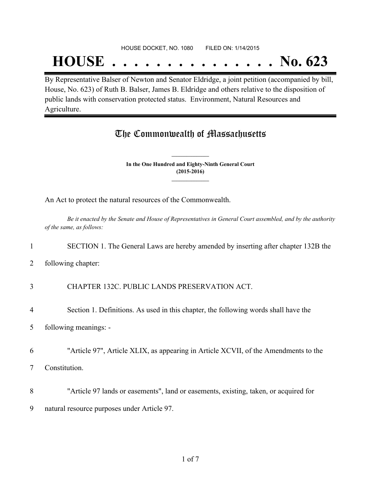#### HOUSE DOCKET, NO. 1080 FILED ON: 1/14/2015

## **HOUSE . . . . . . . . . . . . . . . No. 623**

By Representative Balser of Newton and Senator Eldridge, a joint petition (accompanied by bill, House, No. 623) of Ruth B. Balser, James B. Eldridge and others relative to the disposition of public lands with conservation protected status. Environment, Natural Resources and Agriculture.

## The Commonwealth of Massachusetts

**In the One Hundred and Eighty-Ninth General Court (2015-2016) \_\_\_\_\_\_\_\_\_\_\_\_\_\_\_**

**\_\_\_\_\_\_\_\_\_\_\_\_\_\_\_**

An Act to protect the natural resources of the Commonwealth.

Be it enacted by the Senate and House of Representatives in General Court assembled, and by the authority *of the same, as follows:*

#### 1 SECTION 1. The General Laws are hereby amended by inserting after chapter 132B the

2 following chapter:

3 CHAPTER 132C. PUBLIC LANDS PRESERVATION ACT.

- 4 Section 1. Definitions. As used in this chapter, the following words shall have the
- 5 following meanings: -
- 6 "Article 97", Article XLIX, as appearing in Article XCVII, of the Amendments to the
- 7 Constitution.
- 8 "Article 97 lands or easements", land or easements, existing, taken, or acquired for
- 9 natural resource purposes under Article 97.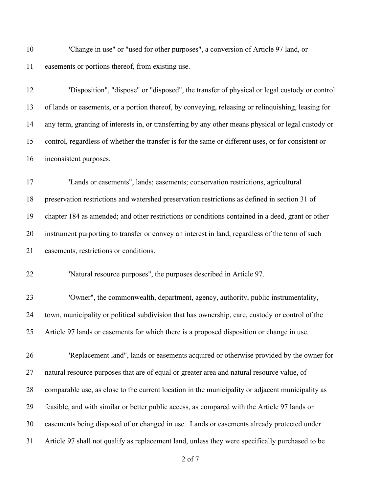"Change in use" or "used for other purposes", a conversion of Article 97 land, or easements or portions thereof, from existing use.

"Disposition", "dispose" or "disposed", the transfer of physical or legal custody or control

| 13 | of lands or easements, or a portion thereof, by conveying, releasing or relinquishing, leasing for  |
|----|-----------------------------------------------------------------------------------------------------|
| 14 | any term, granting of interests in, or transferring by any other means physical or legal custody or |
| 15 | control, regardless of whether the transfer is for the same or different uses, or for consistent or |
| 16 | inconsistent purposes.                                                                              |
| 17 | "Lands or easements", lands; easements; conservation restrictions, agricultural                     |
| 18 | preservation restrictions and watershed preservation restrictions as defined in section 31 of       |
| 19 | chapter 184 as amended; and other restrictions or conditions contained in a deed, grant or other    |
| 20 | instrument purporting to transfer or convey an interest in land, regardless of the term of such     |
| 21 | easements, restrictions or conditions.                                                              |
| 22 | "Natural resource purposes", the purposes described in Article 97.                                  |
| 23 | "Owner", the commonwealth, department, agency, authority, public instrumentality,                   |
| 24 | town, municipality or political subdivision that has ownership, care, custody or control of the     |
| 25 | Article 97 lands or easements for which there is a proposed disposition or change in use.           |
| 26 | "Replacement land", lands or easements acquired or otherwise provided by the owner for              |
| 27 | natural resource purposes that are of equal or greater area and natural resource value, of          |
| 28 | comparable use, as close to the current location in the municipality or adjacent municipality as    |
| 29 | feasible, and with similar or better public access, as compared with the Article 97 lands or        |
| 30 | easements being disposed of or changed in use. Lands or easements already protected under           |
| 31 | Article 97 shall not qualify as replacement land, unless they were specifically purchased to be     |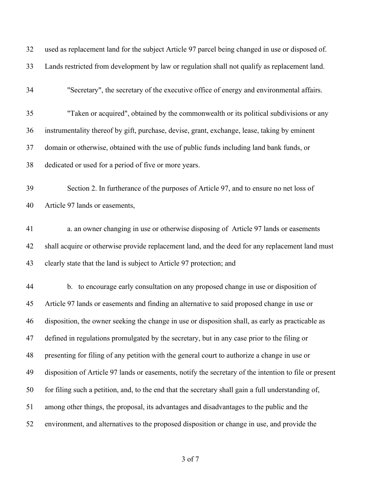| 32 | used as replacement land for the subject Article 97 parcel being changed in use or disposed of.        |
|----|--------------------------------------------------------------------------------------------------------|
| 33 | Lands restricted from development by law or regulation shall not qualify as replacement land.          |
| 34 | "Secretary", the secretary of the executive office of energy and environmental affairs.                |
| 35 | "Taken or acquired", obtained by the commonwealth or its political subdivisions or any                 |
| 36 | instrumentality thereof by gift, purchase, devise, grant, exchange, lease, taking by eminent           |
| 37 | domain or otherwise, obtained with the use of public funds including land bank funds, or               |
| 38 | dedicated or used for a period of five or more years.                                                  |
| 39 | Section 2. In furtherance of the purposes of Article 97, and to ensure no net loss of                  |
| 40 | Article 97 lands or easements,                                                                         |
| 41 | a. an owner changing in use or otherwise disposing of Article 97 lands or easements                    |
| 42 | shall acquire or otherwise provide replacement land, and the deed for any replacement land must        |
| 43 | clearly state that the land is subject to Article 97 protection; and                                   |
| 44 | b. to encourage early consultation on any proposed change in use or disposition of                     |
| 45 | Article 97 lands or easements and finding an alternative to said proposed change in use or             |
| 46 | disposition, the owner seeking the change in use or disposition shall, as early as practicable as      |
| 47 | defined in regulations promulgated by the secretary, but in any case prior to the filing or            |
| 48 | presenting for filing of any petition with the general court to authorize a change in use or           |
| 49 | disposition of Article 97 lands or easements, notify the secretary of the intention to file or present |
| 50 | for filing such a petition, and, to the end that the secretary shall gain a full understanding of,     |
| 51 | among other things, the proposal, its advantages and disadvantages to the public and the               |
| 52 | environment, and alternatives to the proposed disposition or change in use, and provide the            |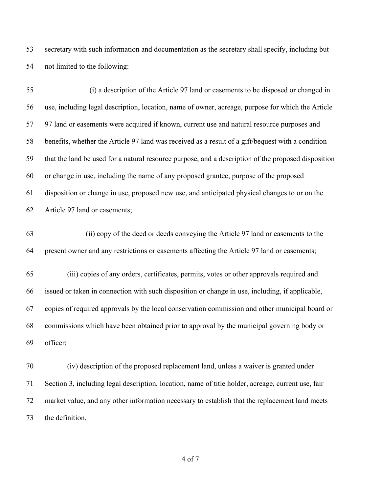secretary with such information and documentation as the secretary shall specify, including but not limited to the following:

| 55 | (i) a description of the Article 97 land or easements to be disposed or changed in                  |
|----|-----------------------------------------------------------------------------------------------------|
| 56 | use, including legal description, location, name of owner, acreage, purpose for which the Article   |
| 57 | 97 land or easements were acquired if known, current use and natural resource purposes and          |
| 58 | benefits, whether the Article 97 land was received as a result of a gift/bequest with a condition   |
| 59 | that the land be used for a natural resource purpose, and a description of the proposed disposition |
| 60 | or change in use, including the name of any proposed grantee, purpose of the proposed               |
| 61 | disposition or change in use, proposed new use, and anticipated physical changes to or on the       |
| 62 | Article 97 land or easements;                                                                       |
| 63 | (ii) copy of the deed or deeds conveying the Article 97 land or easements to the                    |
| 64 | present owner and any restrictions or easements affecting the Article 97 land or easements;         |
| 65 | (iii) copies of any orders, certificates, permits, votes or other approvals required and            |
| 66 | issued or taken in connection with such disposition or change in use, including, if applicable,     |
| 67 | copies of required approvals by the local conservation commission and other municipal board or      |
| 68 | commissions which have been obtained prior to approval by the municipal governing body or           |
| 69 | officer;                                                                                            |
| 70 | (iv) description of the proposed replacement land, unless a waiver is granted under                 |
| 71 | Section 3, including legal description, location, name of title holder, acreage, current use, fair  |

the definition.

of 7

market value, and any other information necessary to establish that the replacement land meets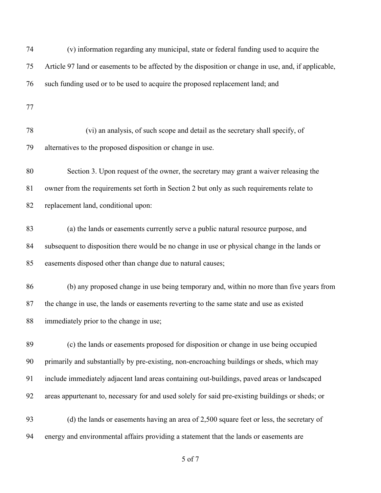| 74 | (v) information regarding any municipal, state or federal funding used to acquire the                |
|----|------------------------------------------------------------------------------------------------------|
| 75 | Article 97 land or easements to be affected by the disposition or change in use, and, if applicable, |
| 76 | such funding used or to be used to acquire the proposed replacement land; and                        |
| 77 |                                                                                                      |
| 78 | (vi) an analysis, of such scope and detail as the secretary shall specify, of                        |
| 79 | alternatives to the proposed disposition or change in use.                                           |
| 80 | Section 3. Upon request of the owner, the secretary may grant a waiver releasing the                 |
| 81 | owner from the requirements set forth in Section 2 but only as such requirements relate to           |
| 82 | replacement land, conditional upon:                                                                  |
| 83 | (a) the lands or easements currently serve a public natural resource purpose, and                    |
| 84 | subsequent to disposition there would be no change in use or physical change in the lands or         |
| 85 | easements disposed other than change due to natural causes;                                          |
| 86 | (b) any proposed change in use being temporary and, within no more than five years from              |
| 87 | the change in use, the lands or easements reverting to the same state and use as existed             |
| 88 | immediately prior to the change in use;                                                              |
| 89 | (c) the lands or easements proposed for disposition or change in use being occupied                  |
| 90 | primarily and substantially by pre-existing, non-encroaching buildings or sheds, which may           |
| 91 | include immediately adjacent land areas containing out-buildings, paved areas or landscaped          |
| 92 | areas appurtenant to, necessary for and used solely for said pre-existing buildings or sheds; or     |
| 93 | (d) the lands or easements having an area of 2,500 square feet or less, the secretary of             |
| 94 | energy and environmental affairs providing a statement that the lands or easements are               |
|    |                                                                                                      |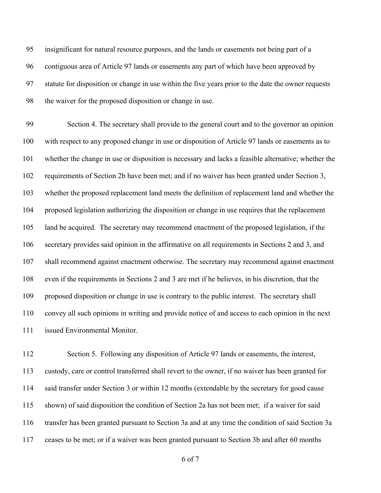insignificant for natural resource purposes, and the lands or easements not being part of a contiguous area of Article 97 lands or easements any part of which have been approved by statute for disposition or change in use within the five years prior to the date the owner requests the waiver for the proposed disposition or change in use.

 Section 4. The secretary shall provide to the general court and to the governor an opinion with respect to any proposed change in use or disposition of Article 97 lands or easements as to whether the change in use or disposition is necessary and lacks a feasible alternative; whether the requirements of Section 2b have been met; and if no waiver has been granted under Section 3, whether the proposed replacement land meets the definition of replacement land and whether the proposed legislation authorizing the disposition or change in use requires that the replacement land be acquired. The secretary may recommend enactment of the proposed legislation, if the secretary provides said opinion in the affirmative on all requirements in Sections 2 and 3, and shall recommend against enactment otherwise. The secretary may recommend against enactment even if the requirements in Sections 2 and 3 are met if he believes, in his discretion, that the proposed disposition or change in use is contrary to the public interest. The secretary shall convey all such opinions in writing and provide notice of and access to each opinion in the next issued Environmental Monitor.

 Section 5. Following any disposition of Article 97 lands or easements, the interest, custody, care or control transferred shall revert to the owner, if no waiver has been granted for said transfer under Section 3 or within 12 months (extendable by the secretary for good cause shown) of said disposition the condition of Section 2a has not been met; if a waiver for said transfer has been granted pursuant to Section 3a and at any time the condition of said Section 3a ceases to be met; or if a waiver was been granted pursuant to Section 3b and after 60 months